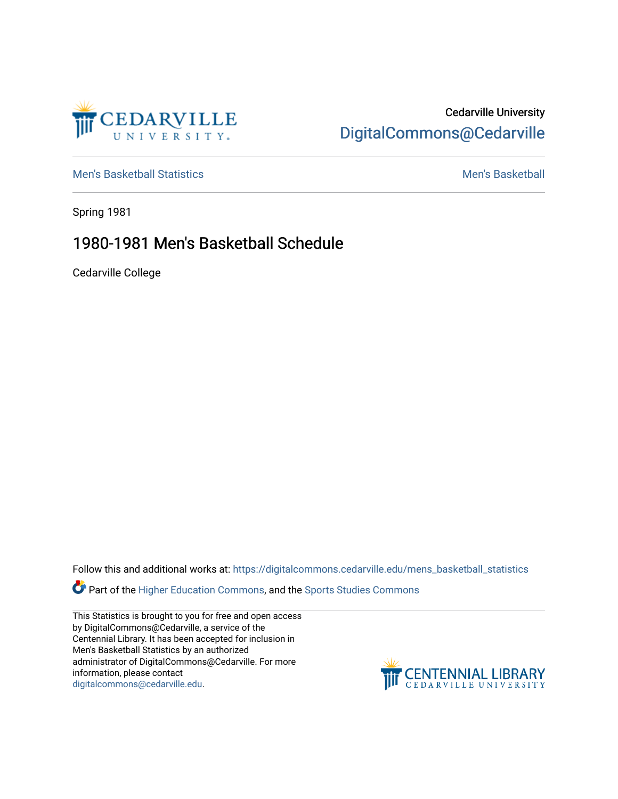

### Cedarville University [DigitalCommons@Cedarville](https://digitalcommons.cedarville.edu/)

[Men's Basketball Statistics](https://digitalcommons.cedarville.edu/mens_basketball_statistics) [Men's Basketball](https://digitalcommons.cedarville.edu/mens_basketball) 

Spring 1981

## 1980-1981 Men's Basketball Schedule

Cedarville College

Follow this and additional works at: [https://digitalcommons.cedarville.edu/mens\\_basketball\\_statistics](https://digitalcommons.cedarville.edu/mens_basketball_statistics?utm_source=digitalcommons.cedarville.edu%2Fmens_basketball_statistics%2F456&utm_medium=PDF&utm_campaign=PDFCoverPages) 

Part of the [Higher Education Commons,](http://network.bepress.com/hgg/discipline/1245?utm_source=digitalcommons.cedarville.edu%2Fmens_basketball_statistics%2F456&utm_medium=PDF&utm_campaign=PDFCoverPages) and the Sports Studies Commons

This Statistics is brought to you for free and open access by DigitalCommons@Cedarville, a service of the Centennial Library. It has been accepted for inclusion in Men's Basketball Statistics by an authorized administrator of DigitalCommons@Cedarville. For more information, please contact [digitalcommons@cedarville.edu](mailto:digitalcommons@cedarville.edu).